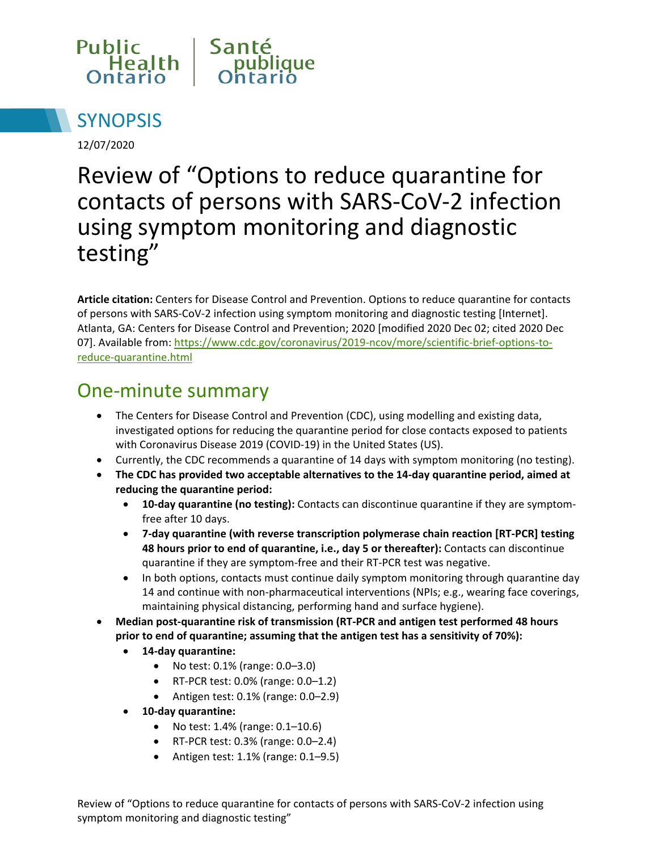



12/07/2020

# Review of "Options to reduce quarantine for contacts of persons with SARS-CoV-2 infection using symptom monitoring and diagnostic testing"

**Article citation:** Centers for Disease Control and Prevention. Options to reduce quarantine for contacts of persons with SARS-CoV-2 infection using symptom monitoring and diagnostic testing [Internet]. Atlanta, GA: Centers for Disease Control and Prevention; 2020 [modified 2020 Dec 02; cited 2020 Dec 07]. Available from: [https://www.cdc.gov/coronavirus/2019-ncov/more/scientific-brief-options-to](https://www.cdc.gov/coronavirus/2019-ncov/more/scientific-brief-options-to-reduce-quarantine.html)[reduce-quarantine.html](https://www.cdc.gov/coronavirus/2019-ncov/more/scientific-brief-options-to-reduce-quarantine.html)

#### One-minute summary

- The Centers for Disease Control and Prevention (CDC), using modelling and existing data, investigated options for reducing the quarantine period for close contacts exposed to patients with Coronavirus Disease 2019 (COVID-19) in the United States (US).
- Currently, the CDC recommends a quarantine of 14 days with symptom monitoring (no testing).
- **The CDC has provided two acceptable alternatives to the 14-day quarantine period, aimed at reducing the quarantine period:**
	- **10-day quarantine (no testing):** Contacts can discontinue quarantine if they are symptomfree after 10 days.
	- **7-day quarantine (with reverse transcription polymerase chain reaction [RT-PCR] testing 48 hours prior to end of quarantine, i.e., day 5 or thereafter):** Contacts can discontinue quarantine if they are symptom-free and their RT-PCR test was negative.
	- In both options, contacts must continue daily symptom monitoring through quarantine day 14 and continue with non-pharmaceutical interventions (NPIs; e.g., wearing face coverings, maintaining physical distancing, performing hand and surface hygiene).
- **Median post-quarantine risk of transmission (RT-PCR and antigen test performed 48 hours prior to end of quarantine; assuming that the antigen test has a sensitivity of 70%):** 
	- **14-day quarantine:**
		- No test: 0.1% (range: 0.0–3.0)
		- RT-PCR test: 0.0% (range: 0.0–1.2)
		- Antigen test: 0.1% (range: 0.0–2.9)
	- **10-day quarantine:** 
		- No test: 1.4% (range: 0.1–10.6)
		- RT-PCR test: 0.3% (range: 0.0–2.4)
		- Antigen test: 1.1% (range: 0.1–9.5)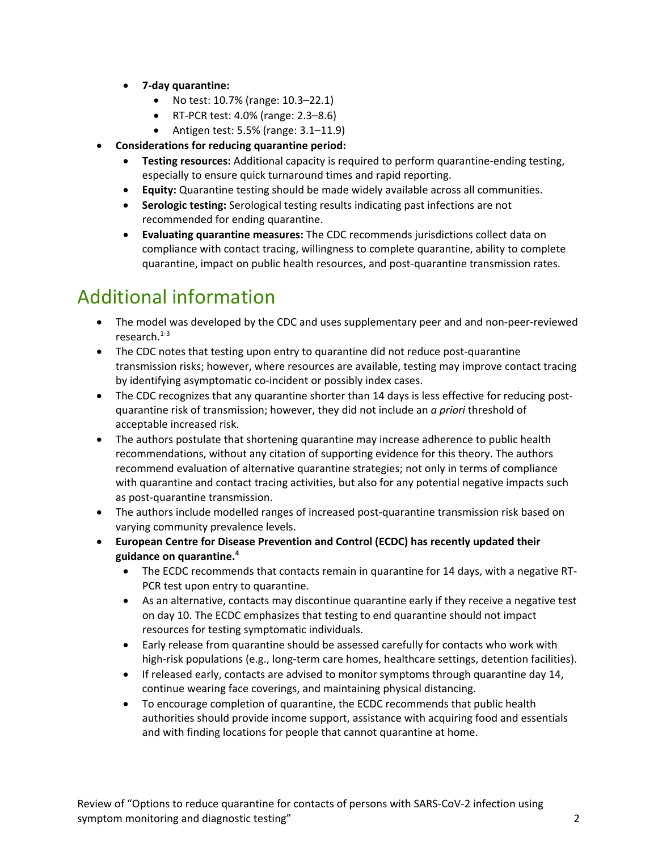- **7-day quarantine:**
	- No test: 10.7% (range: 10.3–22.1)
	- RT-PCR test: 4.0% (range: 2.3–8.6)
	- Antigen test: 5.5% (range: 3.1–11.9)
- **Considerations for reducing quarantine period:**
	- **Testing resources:** Additional capacity is required to perform quarantine-ending testing, especially to ensure quick turnaround times and rapid reporting.
	- **Equity:** Quarantine testing should be made widely available across all communities.
	- **Serologic testing:** Serological testing results indicating past infections are not recommended for ending quarantine.
	- **Evaluating quarantine measures:** The CDC recommends jurisdictions collect data on compliance with contact tracing, willingness to complete quarantine, ability to complete quarantine, impact on public health resources, and post-quarantine transmission rates.

### Additional information

- The model was developed by the CDC and uses supplementary peer and and non-peer-reviewed research.1-3
- The CDC notes that testing upon entry to quarantine did not reduce post-quarantine transmission risks; however, where resources are available, testing may improve contact tracing by identifying asymptomatic co-incident or possibly index cases.
- The CDC recognizes that any quarantine shorter than 14 days is less effective for reducing postquarantine risk of transmission; however, they did not include an *a priori* threshold of acceptable increased risk.
- The authors postulate that shortening quarantine may increase adherence to public health recommendations, without any citation of supporting evidence for this theory. The authors recommend evaluation of alternative quarantine strategies; not only in terms of compliance with quarantine and contact tracing activities, but also for any potential negative impacts such as post-quarantine transmission.
- The authors include modelled ranges of increased post-quarantine transmission risk based on varying community prevalence levels.
- **European Centre for Disease Prevention and Control (ECDC) has recently updated their guidance on quarantine.4** 
	- The ECDC recommends that contacts remain in quarantine for 14 days, with a negative RT-PCR test upon entry to quarantine.
	- As an alternative, contacts may discontinue quarantine early if they receive a negative test on day 10. The ECDC emphasizes that testing to end quarantine should not impact resources for testing symptomatic individuals.
	- Early release from quarantine should be assessed carefully for contacts who work with high-risk populations (e.g., long-term care homes, healthcare settings, detention facilities).
	- If released early, contacts are advised to monitor symptoms through quarantine day 14, continue wearing face coverings, and maintaining physical distancing.
	- To encourage completion of quarantine, the ECDC recommends that public health authorities should provide income support, assistance with acquiring food and essentials and with finding locations for people that cannot quarantine at home.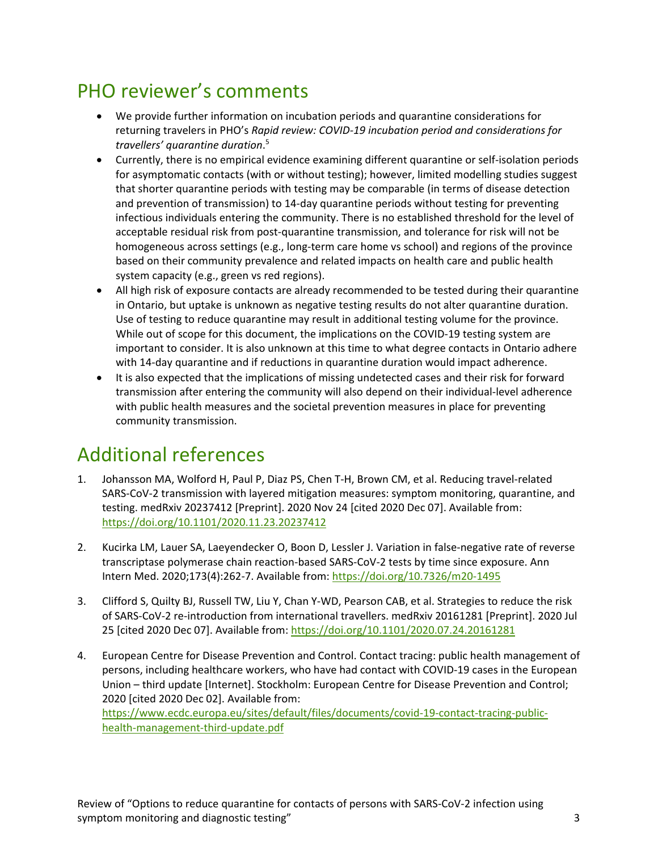### PHO reviewer's comments

- We provide further information on incubation periods and quarantine considerations for returning travelers in PHO's *Rapid review: COVID-19 incubation period and considerations for travellers' quarantine duration*. 5
- Currently, there is no empirical evidence examining different quarantine or self-isolation periods for asymptomatic contacts (with or without testing); however, limited modelling studies suggest that shorter quarantine periods with testing may be comparable (in terms of disease detection and prevention of transmission) to 14-day quarantine periods without testing for preventing infectious individuals entering the community. There is no established threshold for the level of acceptable residual risk from post-quarantine transmission, and tolerance for risk will not be homogeneous across settings (e.g., long-term care home vs school) and regions of the province based on their community prevalence and related impacts on health care and public health system capacity (e.g., green vs red regions).
- All high risk of exposure contacts are already recommended to be tested during their quarantine in Ontario, but uptake is unknown as negative testing results do not alter quarantine duration. Use of testing to reduce quarantine may result in additional testing volume for the province. While out of scope for this document, the implications on the COVID-19 testing system are important to consider. It is also unknown at this time to what degree contacts in Ontario adhere with 14-day quarantine and if reductions in quarantine duration would impact adherence.
- It is also expected that the implications of missing undetected cases and their risk for forward transmission after entering the community will also depend on their individual-level adherence with public health measures and the societal prevention measures in place for preventing community transmission.

# Additional references

- 1. Johansson MA, Wolford H, Paul P, Diaz PS, Chen T-H, Brown CM, et al. Reducing travel-related SARS-CoV-2 transmission with layered mitigation measures: symptom monitoring, quarantine, and testing. medRxiv 20237412 [Preprint]. 2020 Nov 24 [cited 2020 Dec 07]. Available from: <https://doi.org/10.1101/2020.11.23.20237412>
- 2. Kucirka LM, Lauer SA, Laeyendecker O, Boon D, Lessler J. Variation in false-negative rate of reverse transcriptase polymerase chain reaction-based SARS-CoV-2 tests by time since exposure. Ann Intern Med. 2020;173(4):262-7. Available from:<https://doi.org/10.7326/m20-1495>
- 3. Clifford S, Quilty BJ, Russell TW, Liu Y, Chan Y-WD, Pearson CAB, et al. Strategies to reduce the risk of SARS-CoV-2 re-introduction from international travellers. medRxiv 20161281 [Preprint]. 2020 Jul 25 [cited 2020 Dec 07]. Available from:<https://doi.org/10.1101/2020.07.24.20161281>
- 4. European Centre for Disease Prevention and Control. Contact tracing: public health management of persons, including healthcare workers, who have had contact with COVID-19 cases in the European Union – third update [Internet]. Stockholm: European Centre for Disease Prevention and Control; 2020 [cited 2020 Dec 02]. Available from: [https://www.ecdc.europa.eu/sites/default/files/documents/covid-19-contact-tracing-public](https://www.ecdc.europa.eu/sites/default/files/documents/covid-19-contact-tracing-public-health-management-third-update.pdf)[health-management-third-update.pdf](https://www.ecdc.europa.eu/sites/default/files/documents/covid-19-contact-tracing-public-health-management-third-update.pdf)